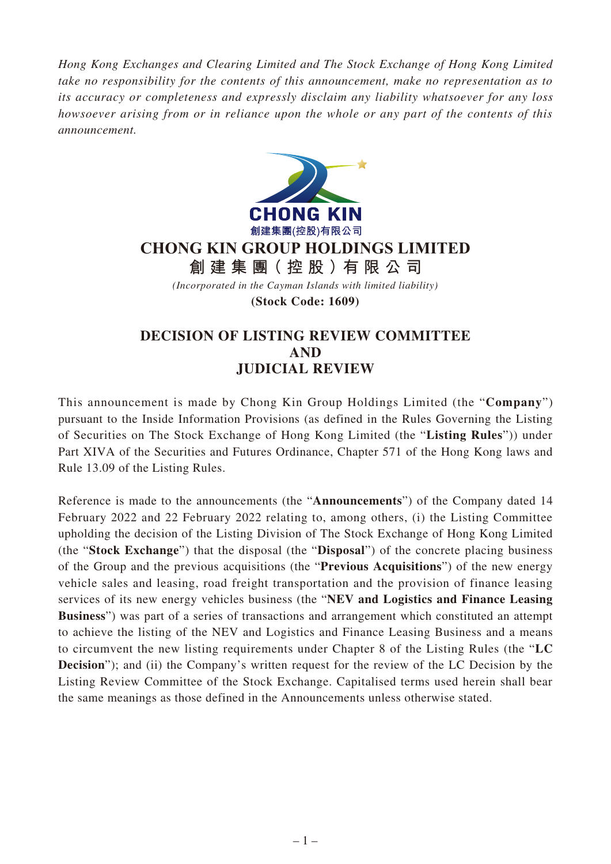*Hong Kong Exchanges and Clearing Limited and The Stock Exchange of Hong Kong Limited take no responsibility for the contents of this announcement, make no representation as to its accuracy or completeness and expressly disclaim any liability whatsoever for any loss howsoever arising from or in reliance upon the whole or any part of the contents of this announcement.*



## **CHONG KIN GROUP HOLDINGS LIMITED**

**創建集團(控股)有限公司**

*(Incorporated in the Cayman Islands with limited liability)*

**(Stock Code: 1609)**

## **DECISION OF LISTING REVIEW COMMITTEE AND JUDICIAL REVIEW**

This announcement is made by Chong Kin Group Holdings Limited (the "**Company**") pursuant to the Inside Information Provisions (as defined in the Rules Governing the Listing of Securities on The Stock Exchange of Hong Kong Limited (the "**Listing Rules**")) under Part XIVA of the Securities and Futures Ordinance, Chapter 571 of the Hong Kong laws and Rule 13.09 of the Listing Rules.

Reference is made to the announcements (the "**Announcements**") of the Company dated 14 February 2022 and 22 February 2022 relating to, among others, (i) the Listing Committee upholding the decision of the Listing Division of The Stock Exchange of Hong Kong Limited (the "**Stock Exchange**") that the disposal (the "**Disposal**") of the concrete placing business of the Group and the previous acquisitions (the "**Previous Acquisitions**") of the new energy vehicle sales and leasing, road freight transportation and the provision of finance leasing services of its new energy vehicles business (the "**NEV and Logistics and Finance Leasing Business**") was part of a series of transactions and arrangement which constituted an attempt to achieve the listing of the NEV and Logistics and Finance Leasing Business and a means to circumvent the new listing requirements under Chapter 8 of the Listing Rules (the "**LC Decision**"); and (ii) the Company's written request for the review of the LC Decision by the Listing Review Committee of the Stock Exchange. Capitalised terms used herein shall bear the same meanings as those defined in the Announcements unless otherwise stated.